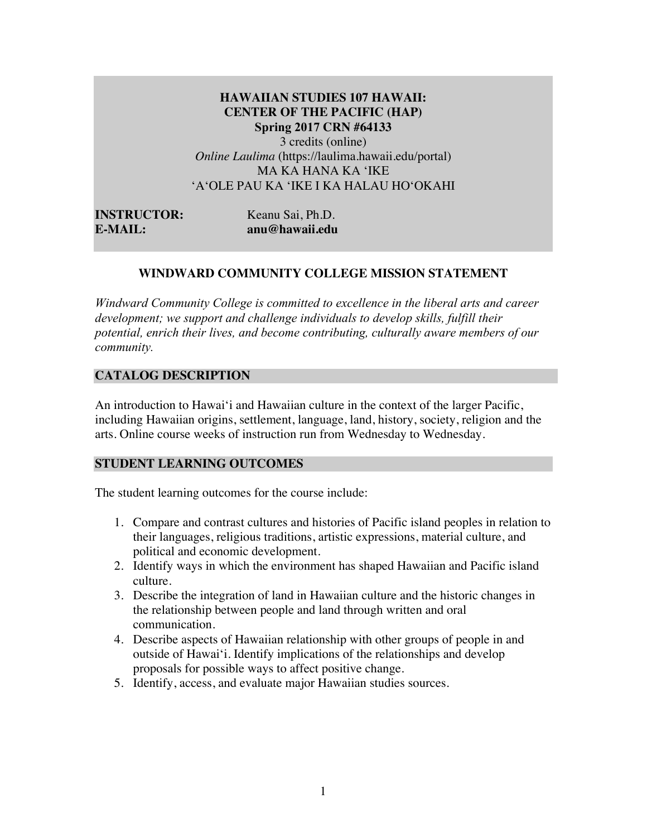# **HAWAIIAN STUDIES 107 HAWAII: CENTER OF THE PACIFIC (HAP) Spring 2017 CRN #64133**  3 credits (online)

*Online Laulima* (https://laulima.hawaii.edu/portal) MA KA HANA KA ʻIKE ʻAʻOLE PAU KA ʻIKE I KA HALAU HOʻOKAHI

**INSTRUCTOR:** Keanu Sai, Ph.D. **E-MAIL: anu@hawaii.edu**

## **WINDWARD COMMUNITY COLLEGE MISSION STATEMENT**

*Windward Community College is committed to excellence in the liberal arts and career development; we support and challenge individuals to develop skills, fulfill their potential, enrich their lives, and become contributing, culturally aware members of our community.*

## **CATALOG DESCRIPTION**

An introduction to Hawai'i and Hawaiian culture in the context of the larger Pacific, including Hawaiian origins, settlement, language, land, history, society, religion and the arts. Online course weeks of instruction run from Wednesday to Wednesday.

#### **STUDENT LEARNING OUTCOMES**

The student learning outcomes for the course include:

- 1. Compare and contrast cultures and histories of Pacific island peoples in relation to their languages, religious traditions, artistic expressions, material culture, and political and economic development.
- 2. Identify ways in which the environment has shaped Hawaiian and Pacific island culture.
- 3. Describe the integration of land in Hawaiian culture and the historic changes in the relationship between people and land through written and oral communication.
- 4. Describe aspects of Hawaiian relationship with other groups of people in and outside of Hawai'i. Identify implications of the relationships and develop proposals for possible ways to affect positive change.
- 5. Identify, access, and evaluate major Hawaiian studies sources.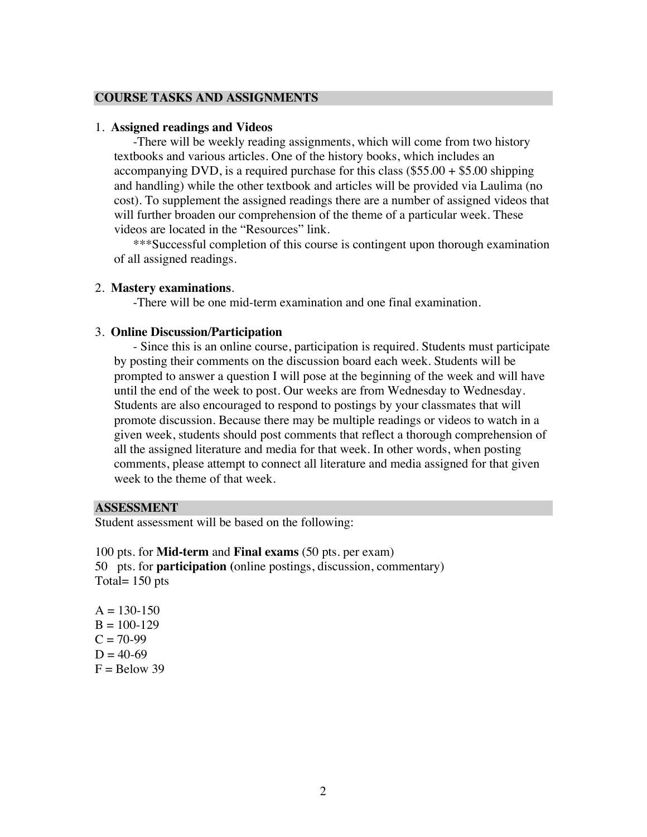#### **COURSE TASKS AND ASSIGNMENTS**

#### 1. **Assigned readings and Videos**

-There will be weekly reading assignments, which will come from two history textbooks and various articles. One of the history books, which includes an accompanying DVD, is a required purchase for this class  $(\$55.00 + \$5.00$  shipping and handling) while the other textbook and articles will be provided via Laulima (no cost). To supplement the assigned readings there are a number of assigned videos that will further broaden our comprehension of the theme of a particular week. These videos are located in the "Resources" link.

\*\*\*Successful completion of this course is contingent upon thorough examination of all assigned readings.

#### 2. **Mastery examinations**.

-There will be one mid-term examination and one final examination.

#### 3. **Online Discussion/Participation**

- Since this is an online course, participation is required. Students must participate by posting their comments on the discussion board each week. Students will be prompted to answer a question I will pose at the beginning of the week and will have until the end of the week to post. Our weeks are from Wednesday to Wednesday. Students are also encouraged to respond to postings by your classmates that will promote discussion. Because there may be multiple readings or videos to watch in a given week, students should post comments that reflect a thorough comprehension of all the assigned literature and media for that week. In other words, when posting comments, please attempt to connect all literature and media assigned for that given week to the theme of that week.

## **ASSESSMENT**

Student assessment will be based on the following:

100 pts. for **Mid-term** and **Final exams** (50 pts. per exam) 50 pts. for **participation (**online postings, discussion, commentary) Total= 150 pts

 $A = 130-150$  $B = 100-129$  $C = 70-99$  $D = 40-69$  $F =$  Below 39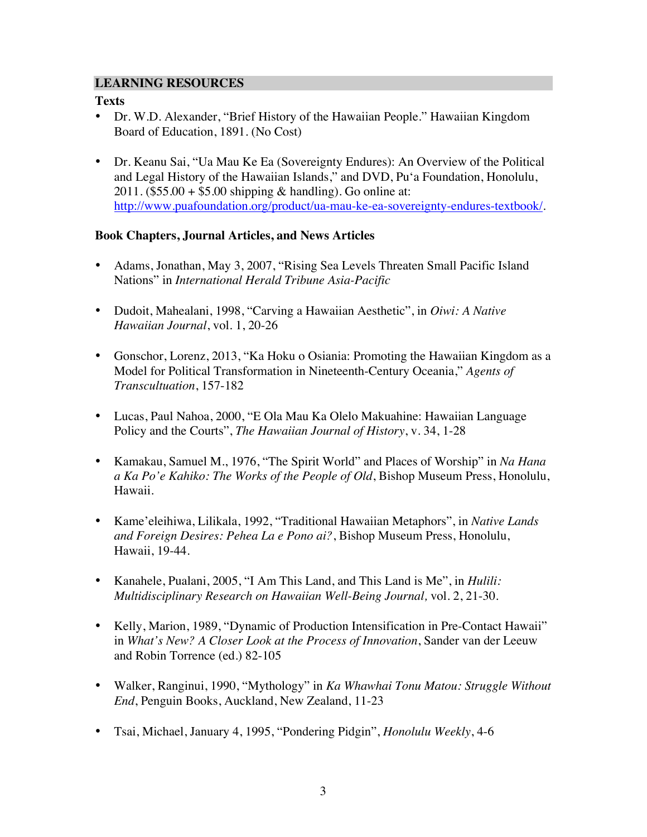## **LEARNING RESOURCES**

## **Texts**

- Dr. W.D. Alexander, "Brief History of the Hawaiian People." Hawaiian Kingdom Board of Education, 1891. (No Cost)
- Dr. Keanu Sai, "Ua Mau Ke Ea (Sovereignty Endures): An Overview of the Political and Legal History of the Hawaiian Islands," and DVD, Pu'a Foundation, Honolulu, 2011. (\$55.00 + \$5.00 shipping & handling). Go online at: http://www.puafoundation.org/product/ua-mau-ke-ea-sovereignty-endures-textbook/.

## **Book Chapters, Journal Articles, and News Articles**

- Adams, Jonathan, May 3, 2007, "Rising Sea Levels Threaten Small Pacific Island Nations" in *International Herald Tribune Asia-Pacific*
- Dudoit, Mahealani, 1998, "Carving a Hawaiian Aesthetic", in *Oiwi: A Native Hawaiian Journal*, vol. 1, 20-26
- Gonschor, Lorenz, 2013, "Ka Hoku o Osiania: Promoting the Hawaiian Kingdom as a Model for Political Transformation in Nineteenth-Century Oceania," *Agents of Transcultuation*, 157-182
- Lucas, Paul Nahoa, 2000, "E Ola Mau Ka Olelo Makuahine: Hawaiian Language Policy and the Courts", *The Hawaiian Journal of History*, v. 34, 1-28
- Kamakau, Samuel M., 1976, "The Spirit World" and Places of Worship" in *Na Hana a Ka Po'e Kahiko: The Works of the People of Old*, Bishop Museum Press, Honolulu, Hawaii.
- Kame'eleihiwa, Lilikala, 1992, "Traditional Hawaiian Metaphors", in *Native Lands and Foreign Desires: Pehea La e Pono ai?*, Bishop Museum Press, Honolulu, Hawaii, 19-44.
- Kanahele, Pualani, 2005, "I Am This Land, and This Land is Me", in *Hulili: Multidisciplinary Research on Hawaiian Well-Being Journal,* vol. 2, 21-30.
- Kelly, Marion, 1989, "Dynamic of Production Intensification in Pre-Contact Hawaii" in *What's New? A Closer Look at the Process of Innovation*, Sander van der Leeuw and Robin Torrence (ed.) 82-105
- Walker, Ranginui, 1990, "Mythology" in *Ka Whawhai Tonu Matou: Struggle Without End*, Penguin Books, Auckland, New Zealand, 11-23
- Tsai, Michael, January 4, 1995, "Pondering Pidgin", *Honolulu Weekly*, 4-6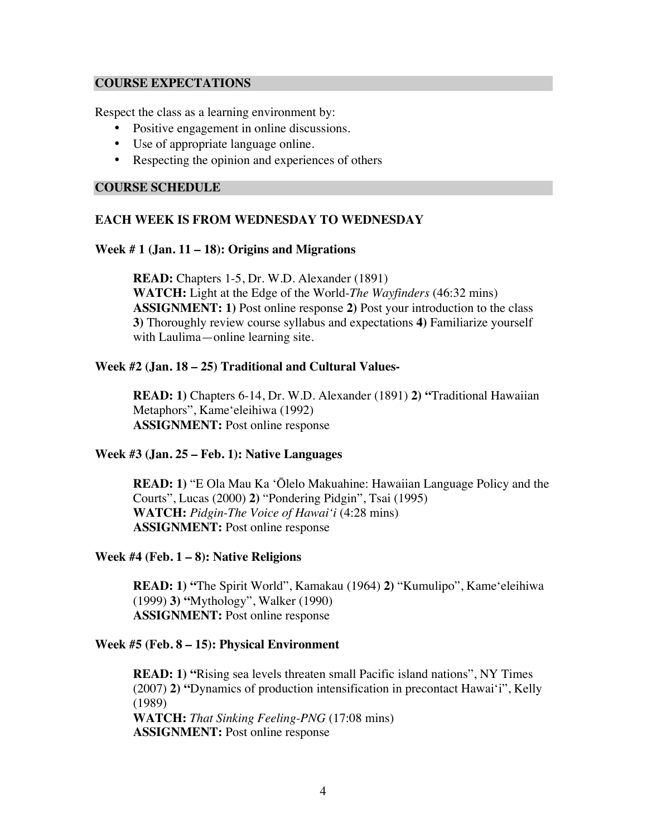#### **COURSE EXPECTATIONS**

Respect the class as a learning environment by:

- Positive engagement in online discussions.
- Use of appropriate language online.
- Respecting the opinion and experiences of others

#### **COURSE SCHEDULE**

## **EACH WEEK IS FROM WEDNESDAY TO WEDNESDAY**

#### **Week # 1 (Jan. 11 – 18): Origins and Migrations**

**READ:** Chapters 1-5, Dr. W.D. Alexander (1891) **WATCH:** Light at the Edge of the World-*The Wayfinders* (46:32 mins) **ASSIGNMENT: 1)** Post online response **2)** Post your introduction to the class **3)** Thoroughly review course syllabus and expectations **4)** Familiarize yourself with Laulima—online learning site.

## **Week #2 (Jan. 18 – 25) Traditional and Cultural Values-**

**READ: 1)** Chapters 6-14, Dr. W.D. Alexander (1891) **2) "**Traditional Hawaiian Metaphors", Kameʻeleihiwa (1992) **ASSIGNMENT:** Post online response

#### **Week #3 (Jan. 25 – Feb. 1): Native Languages**

**READ: 1)** "E Ola Mau Ka ʻŌlelo Makuahine: Hawaiian Language Policy and the Courts", Lucas (2000) **2)** "Pondering Pidgin", Tsai (1995) **WATCH:** *Pidgin-The Voice of Hawaiʻi* (4:28 mins) **ASSIGNMENT:** Post online response

#### **Week #4 (Feb. 1 – 8): Native Religions**

**READ: 1) "**The Spirit World", Kamakau (1964) **2)** "Kumulipo", Kameʻeleihiwa (1999) **3) "**Mythology", Walker (1990) **ASSIGNMENT:** Post online response

#### **Week #5 (Feb. 8 – 15): Physical Environment**

**READ: 1)** "Rising sea levels threaten small Pacific island nations", NY Times (2007) **2) "**Dynamics of production intensification in precontact Hawaiʻi", Kelly (1989) **WATCH:** *That Sinking Feeling-PNG* (17:08 mins) **ASSIGNMENT:** Post online response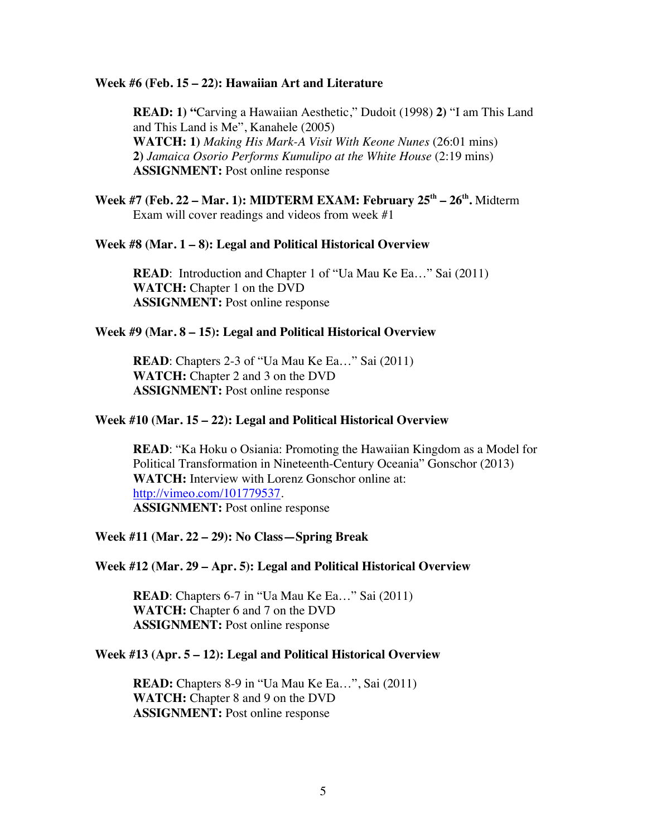#### **Week #6 (Feb. 15 – 22): Hawaiian Art and Literature**

**READ: 1) "**Carving a Hawaiian Aesthetic," Dudoit (1998) **2)** "I am This Land and This Land is Me", Kanahele (2005) **WATCH: 1)** *Making His Mark-A Visit With Keone Nunes* (26:01 mins) **2)** *Jamaica Osorio Performs Kumulipo at the White House* (2:19 mins) **ASSIGNMENT:** Post online response

**Week #7** (Feb. 22 – Mar. 1): MIDTERM EXAM: February 25<sup>th</sup> – 26<sup>th</sup>. Midterm Exam will cover readings and videos from week #1

#### **Week #8 (Mar. 1 – 8): Legal and Political Historical Overview**

**READ:** Introduction and Chapter 1 of "Ua Mau Ke Ea..." Sai (2011) **WATCH:** Chapter 1 on the DVD **ASSIGNMENT:** Post online response

#### **Week #9 (Mar. 8 – 15): Legal and Political Historical Overview**

**READ**: Chapters 2-3 of "Ua Mau Ke Ea..." Sai (2011) **WATCH:** Chapter 2 and 3 on the DVD **ASSIGNMENT:** Post online response

#### **Week #10 (Mar. 15 – 22): Legal and Political Historical Overview**

**READ**: "Ka Hoku o Osiania: Promoting the Hawaiian Kingdom as a Model for Political Transformation in Nineteenth-Century Oceania" Gonschor (2013) **WATCH:** Interview with Lorenz Gonschor online at: http://vimeo.com/101779537. **ASSIGNMENT:** Post online response

#### **Week #11 (Mar. 22 – 29): No Class—Spring Break**

#### **Week #12 (Mar. 29 – Apr. 5): Legal and Political Historical Overview**

**READ**: Chapters 6-7 in "Ua Mau Ke Ea..." Sai (2011) **WATCH:** Chapter 6 and 7 on the DVD **ASSIGNMENT:** Post online response

#### **Week #13 (Apr. 5 – 12): Legal and Political Historical Overview**

**READ:** Chapters 8-9 in "Ua Mau Ke Ea…", Sai (2011) **WATCH:** Chapter 8 and 9 on the DVD **ASSIGNMENT:** Post online response